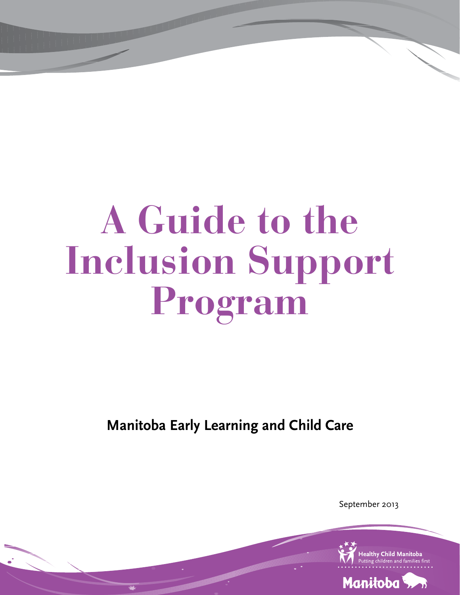# **A Guide to the Inclusion Support Program**

**Manitoba Early Learning and Child Care**

September 2013

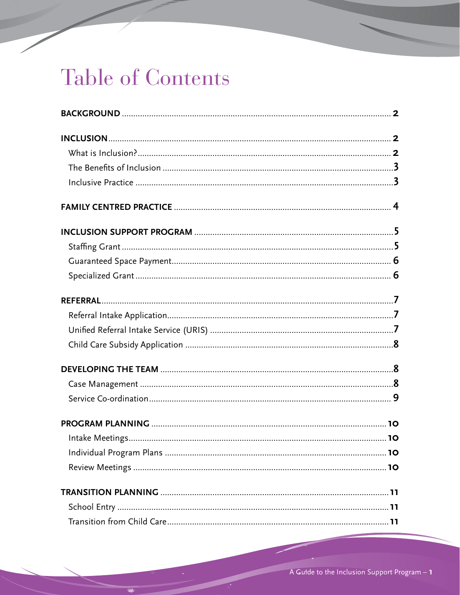# Table of Contents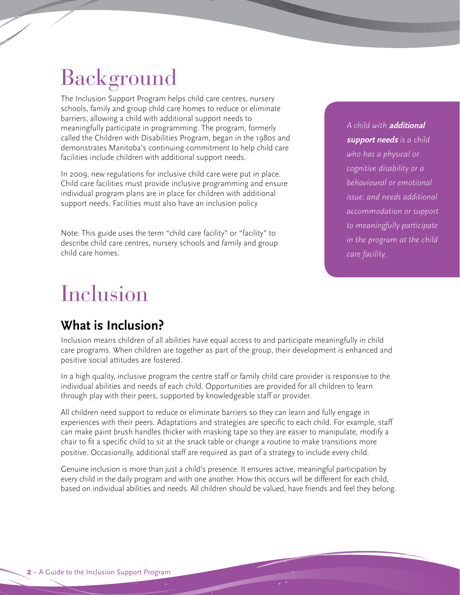# Background

The Inclusion Support Program helps child care centres, nursery schools, family and group child care homes to reduce or eliminate barriers, allowing a child with additional support needs to meaningfully participate in programming. The program, formerly called the Children with Disabilities Program, began in the 1980s and demonstrates Manitoba's continuing commitment to help child care facilities include children with additional support needs.

In 2009, new regulations for inclusive child care were put in place. Child care facilities must provide inclusive programming and ensure individual program plans are in place for children with additional support needs. Facilities must also have an inclusion policy.

Note: This guide uses the term "child care facility" or "facility" to describe child care centres, nursery schools and family and group child care homes.

*A child with* **additional support needs** *is a child who has a physical or cognitive disability or a behavioural or emotional issue; and needs additional accommodation or support to meaningfully participate in the program at the child care facility.*

**Tings** 

### Inclusion

### **What is Inclusion?**

Inclusion means children of all abilities have equal access to and participate meaningfully in child care programs. When children are together as part of the group, their development is enhanced and positive social attitudes are fostered.

In a high quality, inclusive program the centre staff or family child care provider is responsive to the individual abilities and needs of each child. Opportunities are provided for all children to learn through play with their peers, supported by knowledgeable staff or provider.

All children need support to reduce or eliminate barriers so they can learn and fully engage in experiences with their peers. Adaptations and strategies are specific to each child. For example, staff can make paint brush handles thicker with masking tape so they are easier to manipulate, modify a chair to fit a specific child to sit at the snack table or change a routine to make transitions more positive. Occasionally, additional staff are required as part of a strategy to include every child.

Genuine inclusion is more than just a child's presence. It ensures active, meaningful participation by every child in the daily program and with one another. How this occurs will be different for each child, based on individual abilities and needs. All children should be valued, have friends and feel they belong.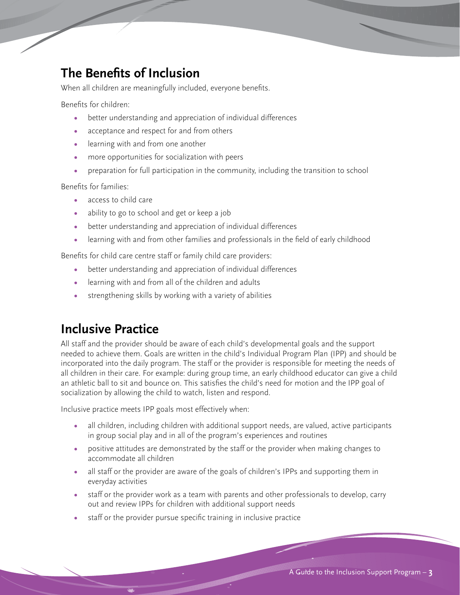### **The Benefits of Inclusion**

When all children are meaningfully included, everyone benefits.

Benefits for children:

- **•** better understanding and appreciation of individual differences
- **•** acceptance and respect for and from others
- **•** learning with and from one another
- **•** more opportunities for socialization with peers
- **•** preparation for full participation in the community, including the transition to school

Benefits for families:

- **•** access to child care
- **•** ability to go to school and get or keep a job
- **•** better understanding and appreciation of individual differences
- **•** learning with and from other families and professionals in the field of early childhood

Benefits for child care centre staff or family child care providers:

- **•** better understanding and appreciation of individual differences
- **•** learning with and from all of the children and adults
- **•** strengthening skills by working with a variety of abilities

#### **Inclusive Practice**

All staff and the provider should be aware of each child's developmental goals and the support needed to achieve them. Goals are written in the child's Individual Program Plan (IPP) and should be incorporated into the daily program. The staff or the provider is responsible for meeting the needs of all children in their care. For example: during group time, an early childhood educator can give a child an athletic ball to sit and bounce on. This satisfies the child's need for motion and the IPP goal of socialization by allowing the child to watch, listen and respond.

Inclusive practice meets IPP goals most effectively when:

- **•** all children, including children with additional support needs, are valued, active participants in group social play and in all of the program's experiences and routines
- **•** positive attitudes are demonstrated by the staff or the provider when making changes to accommodate all children
- **•** all staff or the provider are aware of the goals of children's IPPs and supporting them in everyday activities
- **•** staff or the provider work as a team with parents and other professionals to develop, carry out and review IPPs for children with additional support needs
- **•** staff or the provider pursue specific training in inclusive practice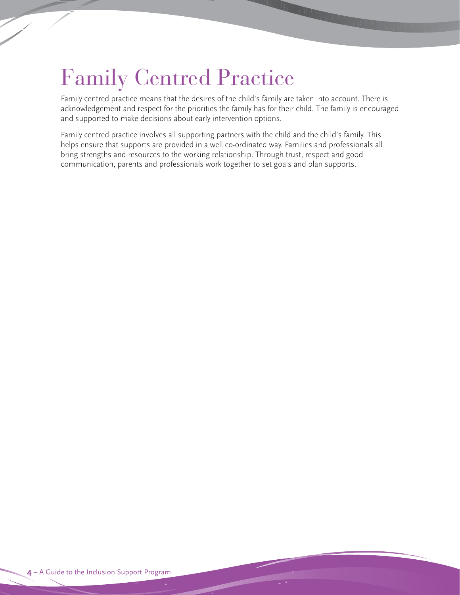### Family Centred Practice

Family centred practice means that the desires of the child's family are taken into account. There is acknowledgement and respect for the priorities the family has for their child. The family is encouraged and supported to make decisions about early intervention options.

Family centred practice involves all supporting partners with the child and the child's family. This helps ensure that supports are provided in a well co-ordinated way. Families and professionals all bring strengths and resources to the working relationship. Through trust, respect and good communication, parents and professionals work together to set goals and plan supports.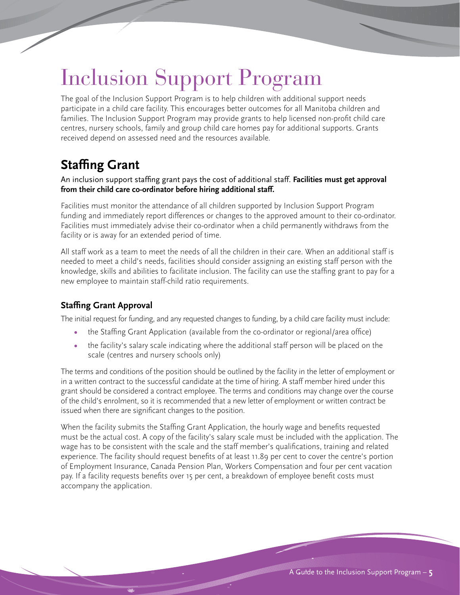# Inclusion Support Program

The goal of the Inclusion Support Program is to help children with additional support needs participate in a child care facility. This encourages better outcomes for all Manitoba children and families. The Inclusion Support Program may provide grants to help licensed non-profit child care centres, nursery schools, family and group child care homes pay for additional supports. Grants received depend on assessed need and the resources available.

### **Staffing Grant**

#### An inclusion support staffing grant pays the cost of additional staff. **Facilities must get approval from their child care co-ordinator before hiring additional staff.**

Facilities must monitor the attendance of all children supported by Inclusion Support Program funding and immediately report differences or changes to the approved amount to their co-ordinator. Facilities must immediately advise their co-ordinator when a child permanently withdraws from the facility or is away for an extended period of time.

All staff work as a team to meet the needs of all the children in their care. When an additional staff is needed to meet a child's needs, facilities should consider assigning an existing staff person with the knowledge, skills and abilities to facilitate inclusion. The facility can use the staffing grant to pay for a new employee to maintain staff-child ratio requirements.

#### **Staffing Grant Approval**

The initial request for funding, and any requested changes to funding, by a child care facility must include:

- **•** the Staffing Grant Application (available from the co-ordinator or regional/area office)
- **•** the facility's salary scale indicating where the additional staff person will be placed on the scale (centres and nursery schools only)

The terms and conditions of the position should be outlined by the facility in the letter of employment or in a written contract to the successful candidate at the time of hiring. A staff member hired under this grant should be considered a contract employee. The terms and conditions may change over the course of the child's enrolment, so it is recommended that a new letter of employment or written contract be issued when there are significant changes to the position.

When the facility submits the Staffing Grant Application, the hourly wage and benefits requested must be the actual cost. A copy of the facility's salary scale must be included with the application. The wage has to be consistent with the scale and the staff member's qualifications, training and related experience. The facility should request benefits of at least 11.89 per cent to cover the centre's portion of Employment Insurance, Canada Pension Plan, Workers Compensation and four per cent vacation pay. If a facility requests benefits over 15 per cent, a breakdown of employee benefit costs must accompany the application.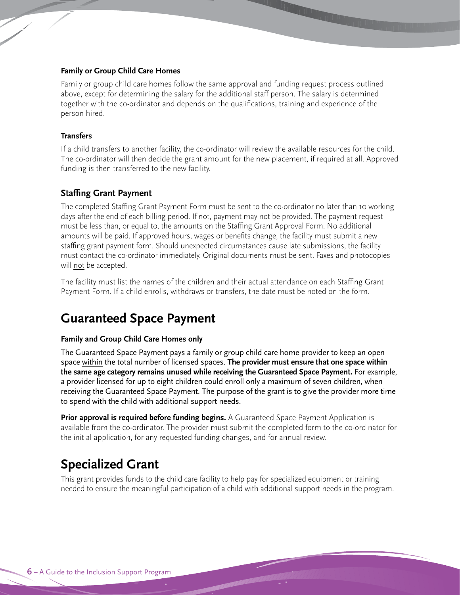#### **Family or Group Child Care Homes**

Family or group child care homes follow the same approval and funding request process outlined above, except for determining the salary for the additional staff person. The salary is determined together with the co-ordinator and depends on the qualifications, training and experience of the person hired.

#### **Transfers**

If a child transfers to another facility, the co-ordinator will review the available resources for the child. The co-ordinator will then decide the grant amount for the new placement, if required at all. Approved funding is then transferred to the new facility.

#### **Staffing Grant Payment**

The completed Staffing Grant Payment Form must be sent to the co-ordinator no later than 10 working days after the end of each billing period. If not, payment may not be provided. The payment request must be less than, or equal to, the amounts on the Staffing Grant Approval Form. No additional amounts will be paid. If approved hours, wages or benefits change, the facility must submit a new staffing grant payment form. Should unexpected circumstances cause late submissions, the facility must contact the co-ordinator immediately. Original documents must be sent. Faxes and photocopies will not be accepted.

The facility must list the names of the children and their actual attendance on each Staffing Grant Payment Form. If a child enrolls, withdraws or transfers, the date must be noted on the form.

### **Guaranteed Space Payment**

#### **Family and Group Child Care Homes only**

The Guaranteed Space Payment pays a family or group child care home provider to keep an open space within the total number of licensed spaces. **The provider must ensure that one space within the same age category remains unused while receiving the Guaranteed Space Payment.** For example, a provider licensed for up to eight children could enroll only a maximum of seven children, when receiving the Guaranteed Space Payment. The purpose of the grant is to give the provider more time to spend with the child with additional support needs.

Prior approval is required before funding begins. A Guaranteed Space Payment Application is available from the co-ordinator. The provider must submit the completed form to the co-ordinator for the initial application, for any requested funding changes, and for annual review.

#### **Specialized Grant**

This grant provides funds to the child care facility to help pay for specialized equipment or training needed to ensure the meaningful participation of a child with additional support needs in the program.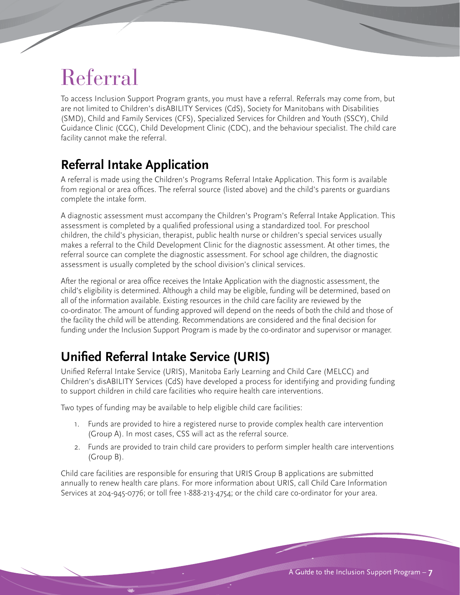# Referral

To access Inclusion Support Program grants, you must have a referral. Referrals may come from, but are not limited to Children's disABILITY Services (CdS), Society for Manitobans with Disabilities (SMD), Child and Family Services (CFS), Specialized Services for Children and Youth (SSCY), Child Guidance Clinic (CGC), Child Development Clinic (CDC), and the behaviour specialist. The child care facility cannot make the referral.

### **Referral Intake Application**

A referral is made using the Children's Programs Referral Intake Application. This form is available from regional or area offices. The referral source (listed above) and the child's parents or guardians complete the intake form.

A diagnostic assessment must accompany the Children's Program's Referral Intake Application. This assessment is completed by a qualified professional using a standardized tool. For preschool children, the child's physician, therapist, public health nurse or children's special services usually makes a referral to the Child Development Clinic for the diagnostic assessment. At other times, the referral source can complete the diagnostic assessment. For school age children, the diagnostic assessment is usually completed by the school division's clinical services.

After the regional or area office receives the Intake Application with the diagnostic assessment, the child's eligibility is determined. Although a child may be eligible, funding will be determined, based on all of the information available. Existing resources in the child care facility are reviewed by the co-ordinator. The amount of funding approved will depend on the needs of both the child and those of the facility the child will be attending. Recommendations are considered and the final decision for funding under the Inclusion Support Program is made by the co-ordinator and supervisor or manager.

### **Unified Referral Intake Service (URIS)**

Unified Referral Intake Service (URIS), Manitoba Early Learning and Child Care (MELCC) and Children's disABILITY Services (CdS) have developed a process for identifying and providing funding to support children in child care facilities who require health care interventions.

Two types of funding may be available to help eligible child care facilities:

- 1. Funds are provided to hire a registered nurse to provide complex health care intervention (Group A). In most cases, CSS will act as the referral source.
- 2. Funds are provided to train child care providers to perform simpler health care interventions (Group B).

Child care facilities are responsible for ensuring that URIS Group B applications are submitted annually to renew health care plans. For more information about URIS, call Child Care Information Services at 204-945-0776; or toll free 1-888-213-4754; or the child care co-ordinator for your area.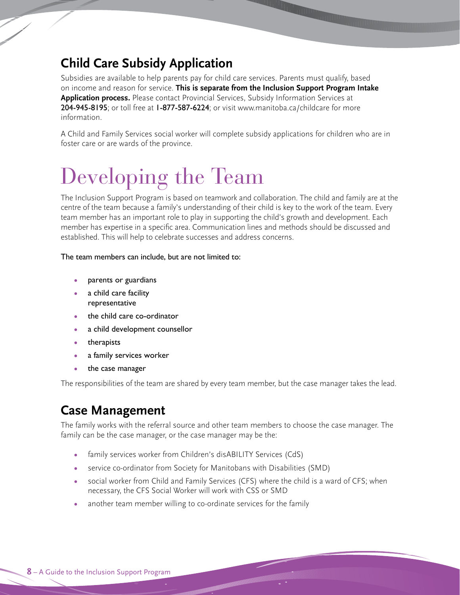### **Child Care subsidy application**

Subsidies are available to help parents pay for child care services. Parents must qualify, based on income and reason for service. **this is separate from the Inclusion support Program Intake application process.** Please contact Provincial Services, Subsidy Information Services at 204-945-8195; or toll free at 1-877-587-6224; or visit www.manitoba.ca/childcare for more information.

A Child and Family Services social worker will complete subsidy applications for children who are in foster care or are wards of the province.

# Developing the Team

The Inclusion Support Program is based on teamwork and collaboration. The child and family are at the centre of the team because a family's understanding of their child is key to the work of the team. Every team member has an important role to play in supporting the child's growth and development. Each member has expertise in a specific area. Communication lines and methods should be discussed and established. This will help to celebrate successes and address concerns.

#### The team members can include, but are not limited to:

- **•** parents or guardians
- **•** a child care facility representative
- **•** the child care co-ordinator
- **•** a child development counsellor
- **•** therapists
- **•** a family services worker
- **•** the case manager

The responsibilities of the team are shared by every team member, but the case manager takes the lead.

#### **Case Management**

The family works with the referral source and other team members to choose the case manager. The family can be the case manager, or the case manager may be the:

- family services worker from Children's disABILITY Services (CdS)
- **•** service co-ordinator from Society for Manitobans with Disabilities (SMD)
- **•** social worker from Child and Family Services (CFS) where the child is a ward of CFS; when necessary, the CFS Social Worker will work with CSS or SMD
- **•** another team member willing to co-ordinate services for the family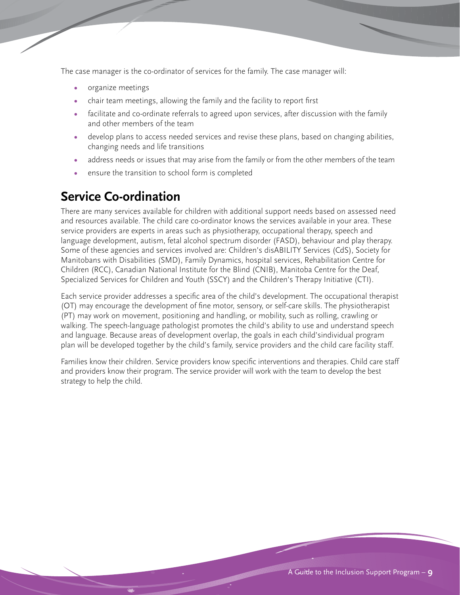The case manager is the co-ordinator of services for the family. The case manager will:

- **•** organize meetings
- **•** chair team meetings, allowing the family and the facility to report first
- **•** facilitate and co-ordinate referrals to agreed upon services, after discussion with the family and other members of the team
- **•** develop plans to access needed services and revise these plans, based on changing abilities, changing needs and life transitions
- **•** address needs or issues that may arise from the family or from the other members of the team
- **•** ensure the transition to school form is completed

### **Service Co-ordination**

There are many services available for children with additional support needs based on assessed need and resources available. The child care co-ordinator knows the services available in your area. These service providers are experts in areas such as physiotherapy, occupational therapy, speech and language development, autism, fetal alcohol spectrum disorder (FASD), behaviour and play therapy. Some of these agencies and services involved are: Children's disABILITY Services (CdS), Society for Manitobans with Disabilities (SMD), Family Dynamics, hospital services, Rehabilitation Centre for Children (RCC), Canadian National Institute for the Blind (CNIB), Manitoba Centre for the Deaf, Specialized Services for Children and Youth (SSCY) and the Children's Therapy Initiative (CTI).

Each service provider addresses a specific area of the child's development. The occupational therapist (OT) may encourage the development of fine motor, sensory, or self-care skills. The physiotherapist (PT) may work on movement, positioning and handling, or mobility, such as rolling, crawling or walking. The speech-language pathologist promotes the child's ability to use and understand speech and language. Because areas of development overlap, the goals in each child'sindividual program plan will be developed together by the child's family, service providers and the child care facility staff.

Families know their children. Service providers know specific interventions and therapies. Child care staff and providers know their program. The service provider will work with the team to develop the best strategy to help the child.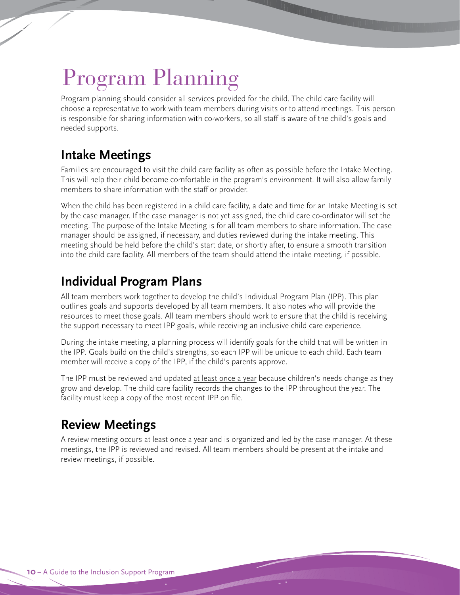# Program Planning

Program planning should consider all services provided for the child. The child care facility will choose a representative to work with team members during visits or to attend meetings. This person is responsible for sharing information with co-workers, so all staff is aware of the child's goals and needed supports.

### **Intake Meetings**

Families are encouraged to visit the child care facility as often as possible before the Intake Meeting. This will help their child become comfortable in the program's environment. It will also allow family members to share information with the staff or provider.

When the child has been registered in a child care facility, a date and time for an Intake Meeting is set by the case manager. If the case manager is not yet assigned, the child care co-ordinator will set the meeting. The purpose of the Intake Meeting is for all team members to share information. The case manager should be assigned, if necessary, and duties reviewed during the intake meeting. This meeting should be held before the child's start date, or shortly after, to ensure a smooth transition into the child care facility. All members of the team should attend the intake meeting, if possible.

### **Individual Program Plans**

All team members work together to develop the child's Individual Program Plan (IPP). This plan outlines goals and supports developed by all team members. It also notes who will provide the resources to meet those goals. All team members should work to ensure that the child is receiving the support necessary to meet IPP goals, while receiving an inclusive child care experience.

During the intake meeting, a planning process will identify goals for the child that will be written in the IPP. Goals build on the child's strengths, so each IPP will be unique to each child. Each team member will receive a copy of the IPP, if the child's parents approve.

The IPP must be reviewed and updated at least once a year because children's needs change as they grow and develop. The child care facility records the changes to the IPP throughout the year. The facility must keep a copy of the most recent IPP on file.

### **Review Meetings**

A review meeting occurs at least once a year and is organized and led by the case manager. At these meetings, the IPP is reviewed and revised. All team members should be present at the intake and review meetings, if possible.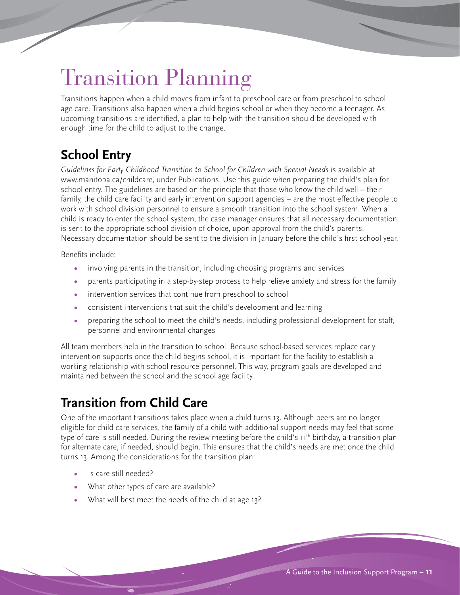# Transition Planning

Transitions happen when a child moves from infant to preschool care or from preschool to school age care. Transitions also happen when a child begins school or when they become a teenager. As upcoming transitions are identified, a plan to help with the transition should be developed with enough time for the child to adjust to the change.

### **School Entry**

Guidelines for Early Childhood Transition to School for Children with Special Needs is available at www.manitoba.ca/childcare, under Publications. Use this guide when preparing the child's plan for school entry. The guidelines are based on the principle that those who know the child well – their family, the child care facility and early intervention support agencies – are the most effective people to work with school division personnel to ensure a smooth transition into the school system. When a child is ready to enter the school system, the case manager ensures that all necessary documentation is sent to the appropriate school division of choice, upon approval from the child's parents. Necessary documentation should be sent to the division in January before the child's first school year.

Benefits include:

- **•** involving parents in the transition, including choosing programs and services
- **•** parents participating in a step-by-step process to help relieve anxiety and stress for the family
- **•** intervention services that continue from preschool to school
- **•** consistent interventions that suit the child's development and learning
- **•** preparing the school to meet the child's needs, including professional development for staff, personnel and environmental changes

All team members help in the transition to school. Because school-based services replace early intervention supports once the child begins school, it is important for the facility to establish a working relationship with school resource personnel. This way, program goals are developed and maintained between the school and the school age facility.

### **Transition from Child Care**

One of the important transitions takes place when a child turns 13. Although peers are no longer eligible for child care services, the family of a child with additional support needs may feel that some type of care is still needed. During the review meeting before the child's 11<sup>th</sup> birthday, a transition plan for alternate care, if needed, should begin. This ensures that the child's needs are met once the child turns 13. Among the considerations for the transition plan:

- **•** Is care still needed?
- **•** What other types of care are available?
- **•** What will best meet the needs of the child at age 13?